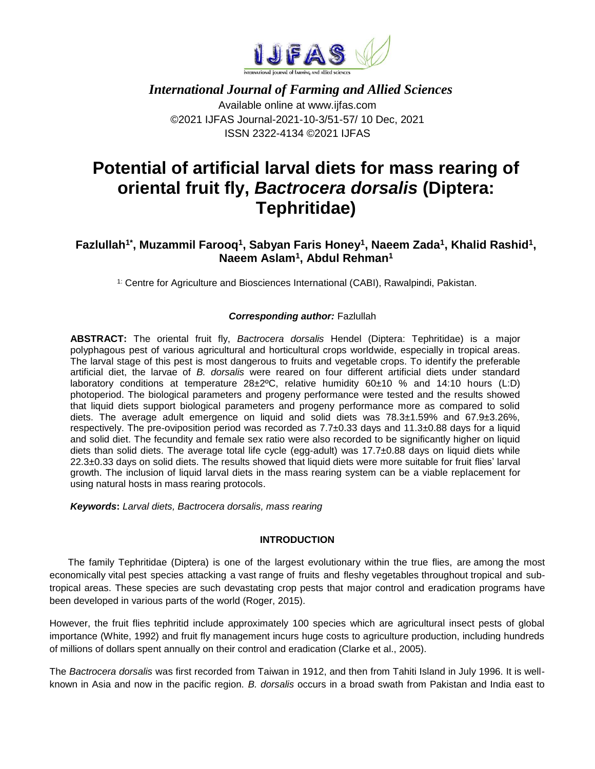

 *International Journal of Farming and Allied Sciences* Available online at www.ijfas.com ©2021 IJFAS Journal-2021-10-3/51-57/ 10 Dec, 2021 ISSN 2322-4134 ©2021 IJFAS

# **Potential of artificial larval diets for mass rearing of oriental fruit fly,** *Bactrocera dorsalis* **(Diptera: Tephritidae)**

# Fazlullah<sup>1\*</sup>, Muzammil Farooq<sup>1</sup>, Sabyan Faris Honey<sup>1</sup>, Naeem Zada<sup>1</sup>, Khalid Rashid<sup>1</sup>, **Naeem Aslam<sup>1</sup> , Abdul Rehman<sup>1</sup>**

<sup>1:</sup> Centre for Agriculture and Biosciences International (CABI), Rawalpindi, Pakistan.

### *Corresponding author:* Fazlullah

**ABSTRACT:** The oriental fruit fly, *Bactrocera dorsalis* Hendel (Diptera: Tephritidae) is a major polyphagous pest of various agricultural and horticultural crops worldwide, especially in tropical areas. The larval stage of this pest is most dangerous to fruits and vegetable crops. To identify the preferable artificial diet, the larvae of *B. dorsalis* were reared on four different artificial diets under standard laboratory conditions at temperature 28±2ºC, relative humidity 60±10 % and 14:10 hours (L:D) photoperiod. The biological parameters and progeny performance were tested and the results showed that liquid diets support biological parameters and progeny performance more as compared to solid diets. The average adult emergence on liquid and solid diets was 78.3±1.59% and 67.9±3.26%, respectively. The pre-oviposition period was recorded as 7.7±0.33 days and 11.3±0.88 days for a liquid and solid diet. The fecundity and female sex ratio were also recorded to be significantly higher on liquid diets than solid diets. The average total life cycle (egg-adult) was 17.7 $\pm$ 0.88 days on liguid diets while 22.3±0.33 days on solid diets. The results showed that liquid diets were more suitable for fruit flies' larval growth. The inclusion of liquid larval diets in the mass rearing system can be a viable replacement for using natural hosts in mass rearing protocols.

*Keywords***:** *Larval diets, Bactrocera dorsalis, mass rearing*

#### **INTRODUCTION**

The family Tephritidae (Diptera) is one of the largest evolutionary within the true flies, are among the most economically vital pest species attacking a vast range of fruits and fleshy vegetables throughout tropical and subtropical areas. These species are such devastating crop pests that major control and eradication programs have been developed in various parts of the world (Roger, 2015).

However, the fruit flies tephritid include approximately 100 species which are agricultural insect pests of global importance (White, 1992) and fruit fly management incurs huge costs to agriculture production, including hundreds of millions of dollars spent annually on their control and eradication (Clarke et al., 2005).

The *Bactrocera dorsalis* was first recorded from Taiwan in 1912, and then from Tahiti Island in July 1996. It is wellknown in Asia and now in the pacific region. *B. dorsalis* occurs in a broad swath from Pakistan and India east to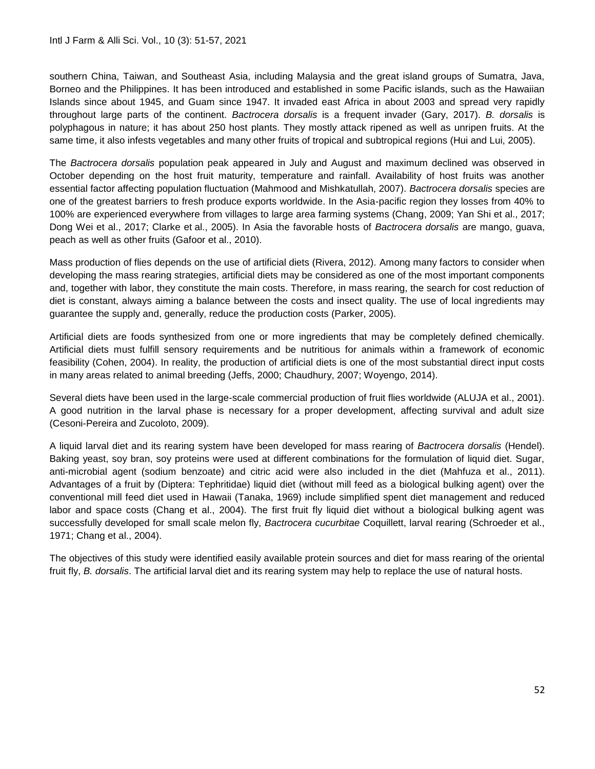southern China, Taiwan, and Southeast Asia, including Malaysia and the great island groups of Sumatra, Java, Borneo and the Philippines. It has been introduced and established in some Pacific islands, such as the Hawaiian Islands since about 1945, and Guam since 1947. It invaded east Africa in about 2003 and spread very rapidly throughout large parts of the continent. *Bactrocera dorsalis* is a frequent invader (Gary, 2017). *B. dorsalis* is polyphagous in nature; it has about 250 host plants. They mostly attack ripened as well as unripen fruits. At the same time, it also infests vegetables and many other fruits of tropical and subtropical regions (Hui and Lui, 2005).

The *Bactrocera dorsalis* population peak appeared in July and August and maximum declined was observed in October depending on the host fruit maturity, temperature and rainfall. Availability of host fruits was another essential factor affecting population fluctuation (Mahmood and Mishkatullah, 2007). *Bactrocera dorsalis* species are one of the greatest barriers to fresh produce exports worldwide. In the Asia-pacific region they losses from 40% to 100% are experienced everywhere from villages to large area farming systems (Chang, 2009; Yan Shi et al., 2017; Dong Wei et al., 2017; Clarke et al., 2005). In Asia the favorable hosts of *Bactrocera dorsalis* are mango, guava, peach as well as other fruits (Gafoor et al., 2010).

Mass production of flies depends on the use of artificial diets (Rivera, 2012). Among many factors to consider when developing the mass rearing strategies, artificial diets may be considered as one of the most important components and, together with labor, they constitute the main costs. Therefore, in mass rearing, the search for cost reduction of diet is constant, always aiming a balance between the costs and insect quality. The use of local ingredients may guarantee the supply and, generally, reduce the production costs (Parker, 2005).

Artificial diets are foods synthesized from one or more ingredients that may be completely defined chemically. Artificial diets must fulfill sensory requirements and be nutritious for animals within a framework of economic feasibility (Cohen, 2004). In reality, the production of artificial diets is one of the most substantial direct input costs in many areas related to animal breeding (Jeffs, 2000; Chaudhury, 2007; Woyengo, 2014).

Several diets have been used in the large-scale commercial production of fruit flies worldwide (ALUJA et al., 2001). A good nutrition in the larval phase is necessary for a proper development, affecting survival and adult size (Cesoni-Pereira and Zucoloto, 2009).

A liquid larval diet and its rearing system have been developed for mass rearing of *Bactrocera dorsalis* (Hendel). Baking yeast, soy bran, soy proteins were used at different combinations for the formulation of liquid diet. Sugar, anti-microbial agent (sodium benzoate) and citric acid were also included in the diet (Mahfuza et al., 2011). Advantages of a fruit by (Diptera: Tephritidae) liquid diet (without mill feed as a biological bulking agent) over the conventional mill feed diet used in Hawaii (Tanaka, 1969) include simplified spent diet management and reduced labor and space costs (Chang et al., 2004). The first fruit fly liquid diet without a biological bulking agent was successfully developed for small scale melon fly, *Bactrocera cucurbitae* Coquillett, larval rearing (Schroeder et al., 1971; Chang et al., 2004).

The objectives of this study were identified easily available protein sources and diet for mass rearing of the oriental fruit fly, *B. dorsalis*. The artificial larval diet and its rearing system may help to replace the use of natural hosts.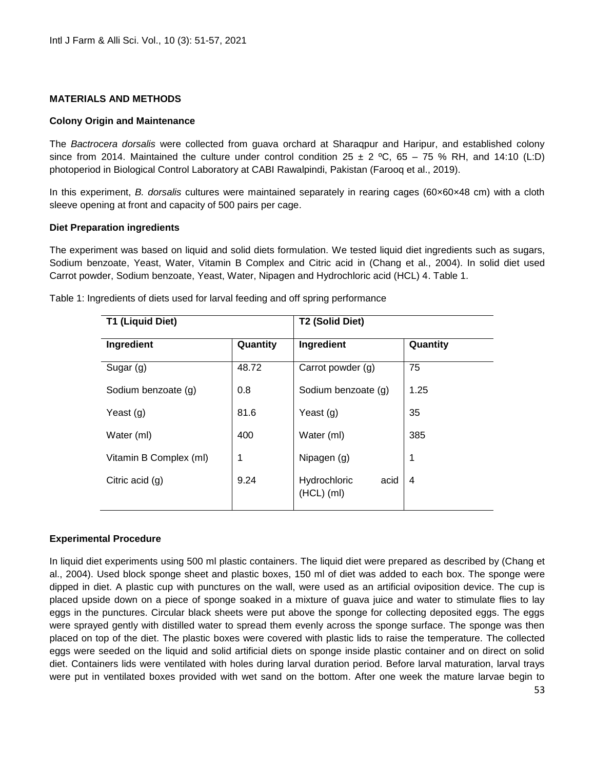#### **MATERIALS AND METHODS**

#### **Colony Origin and Maintenance**

The *Bactrocera dorsalis* were collected from guava orchard at Sharaqpur and Haripur, and established colony since from 2014. Maintained the culture under control condition  $25 \pm 2$  °C, 65 – 75 % RH, and 14:10 (L:D) photoperiod in Biological Control Laboratory at CABI Rawalpindi, Pakistan (Farooq et al., 2019).

In this experiment, *B. dorsalis* cultures were maintained separately in rearing cages (60×60×48 cm) with a cloth sleeve opening at front and capacity of 500 pairs per cage.

#### **Diet Preparation ingredients**

The experiment was based on liquid and solid diets formulation. We tested liquid diet ingredients such as sugars, Sodium benzoate, Yeast, Water, Vitamin B Complex and Citric acid in (Chang et al., 2004). In solid diet used Carrot powder, Sodium benzoate, Yeast, Water, Nipagen and Hydrochloric acid (HCL) 4. Table 1.

| <b>T1 (Liquid Diet)</b> |          | T2 (Solid Diet)                      |          |
|-------------------------|----------|--------------------------------------|----------|
| Ingredient              | Quantity | Ingredient                           | Quantity |
| Sugar (g)               | 48.72    | Carrot powder (g)                    | 75       |
| Sodium benzoate (g)     | 0.8      | Sodium benzoate (g)                  | 1.25     |
| Yeast $(g)$             | 81.6     | Yeast (g)                            | 35       |
| Water (ml)              | 400      | Water (ml)                           | 385      |
| Vitamin B Complex (ml)  | 1        | Nipagen (g)                          |          |
| Citric acid $(g)$       | 9.24     | Hydrochloric<br>acid<br>$(HCL)$ (ml) | 4        |

Table 1: Ingredients of diets used for larval feeding and off spring performance

#### **Experimental Procedure**

In liquid diet experiments using 500 ml plastic containers. The liquid diet were prepared as described by (Chang et al., 2004). Used block sponge sheet and plastic boxes, 150 ml of diet was added to each box. The sponge were dipped in diet. A plastic cup with punctures on the wall, were used as an artificial oviposition device. The cup is placed upside down on a piece of sponge soaked in a mixture of guava juice and water to stimulate flies to lay eggs in the punctures. Circular black sheets were put above the sponge for collecting deposited eggs. The eggs were sprayed gently with distilled water to spread them evenly across the sponge surface. The sponge was then placed on top of the diet. The plastic boxes were covered with plastic lids to raise the temperature. The collected eggs were seeded on the liquid and solid artificial diets on sponge inside plastic container and on direct on solid diet. Containers lids were ventilated with holes during larval duration period. Before larval maturation, larval trays were put in ventilated boxes provided with wet sand on the bottom. After one week the mature larvae begin to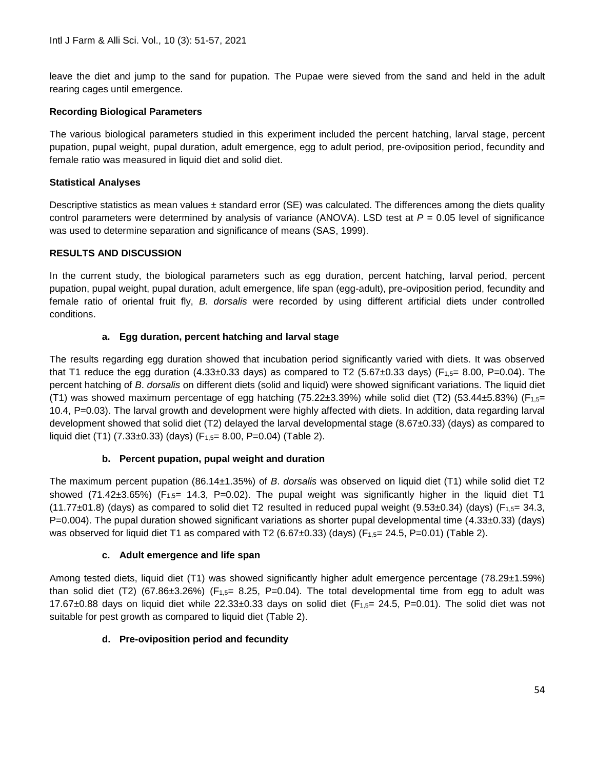leave the diet and jump to the sand for pupation. The Pupae were sieved from the sand and held in the adult rearing cages until emergence.

### **Recording Biological Parameters**

The various biological parameters studied in this experiment included the percent hatching, larval stage, percent pupation, pupal weight, pupal duration, adult emergence, egg to adult period, pre-oviposition period, fecundity and female ratio was measured in liquid diet and solid diet.

### **Statistical Analyses**

Descriptive statistics as mean values  $\pm$  standard error (SE) was calculated. The differences among the diets quality control parameters were determined by analysis of variance (ANOVA). LSD test at *P* = 0.05 level of significance was used to determine separation and significance of means (SAS, 1999).

### **RESULTS AND DISCUSSION**

In the current study, the biological parameters such as egg duration, percent hatching, larval period, percent pupation, pupal weight, pupal duration, adult emergence, life span (egg-adult), pre-oviposition period, fecundity and female ratio of oriental fruit fly, *B. dorsalis* were recorded by using different artificial diets under controlled conditions.

# **a. Egg duration, percent hatching and larval stage**

The results regarding egg duration showed that incubation period significantly varied with diets. It was observed that T1 reduce the egg duration (4.33±0.33 days) as compared to T2 (5.67±0.33 days) (F<sub>1.5</sub>= 8.00, P=0.04). The percent hatching of *B*. *dorsalis* on different diets (solid and liquid) were showed significant variations. The liquid diet (T1) was showed maximum percentage of egg hatching (75.22 $\pm$ 3.39%) while solid diet (T2) (53.44 $\pm$ 5.83%) (F<sub>1,5</sub>= 10.4, P=0.03). The larval growth and development were highly affected with diets. In addition, data regarding larval development showed that solid diet (T2) delayed the larval developmental stage (8.67±0.33) (days) as compared to liquid diet (T1) (7.33 $\pm$ 0.33) (days) (F<sub>1,5</sub>= 8.00, P=0.04) (Table 2).

### **b. Percent pupation, pupal weight and duration**

The maximum percent pupation (86.14±1.35%) of *B*. *dorsalis* was observed on liquid diet (T1) while solid diet T2 showed (71.42 $\pm$ 3.65%) (F<sub>1.5</sub>= 14.3, P=0.02). The pupal weight was significantly higher in the liquid diet T1  $(11.77\pm01.8)$  (days) as compared to solid diet T2 resulted in reduced pupal weight (9.53 $\pm$ 0.34) (days) (F<sub>1,5</sub>= 34.3, P=0.004). The pupal duration showed significant variations as shorter pupal developmental time (4.33±0.33) (days) was observed for liquid diet T1 as compared with T2 (6.67 $\pm$ 0.33) (days) (F<sub>1.5</sub>= 24.5, P=0.01) (Table 2).

### **c. Adult emergence and life span**

Among tested diets, liquid diet (T1) was showed significantly higher adult emergence percentage (78.29±1.59%) than solid diet (T2) (67.86 $\pm 3.26\%$ ) (F<sub>1,5</sub>= 8.25, P=0.04). The total developmental time from egg to adult was 17.67 $\pm$ 0.88 days on liquid diet while 22.33 $\pm$ 0.33 days on solid diet (F<sub>1,5</sub>= 24.5, P=0.01). The solid diet was not suitable for pest growth as compared to liquid diet (Table 2).

### **d. Pre-oviposition period and fecundity**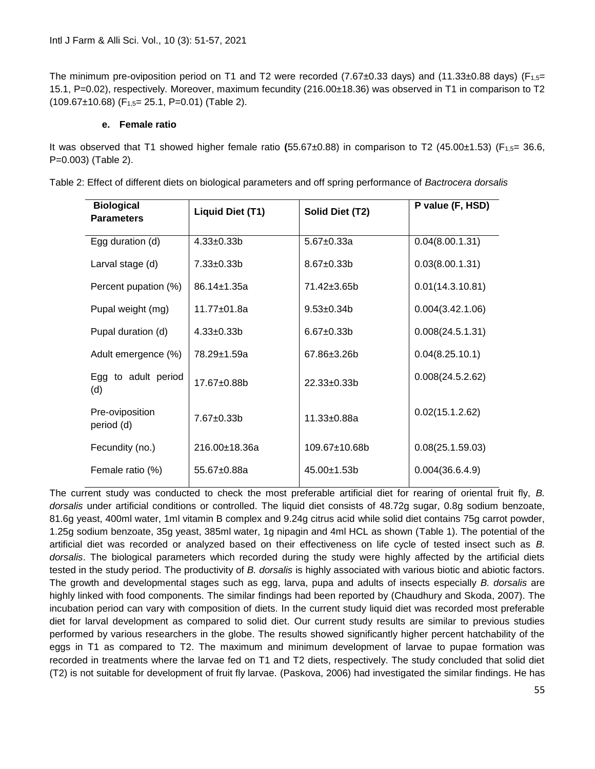The minimum pre-oviposition period on T1 and T2 were recorded (7.67 $\pm$ 0.33 days) and (11.33 $\pm$ 0.88 days) (F<sub>1.5</sub>= 15.1, P=0.02), respectively. Moreover, maximum fecundity (216.00±18.36) was observed in T1 in comparison to T2  $(109.67\pm10.68)$  (F<sub>1.5</sub> = 25.1, P=0.01) (Table 2).

#### **e. Female ratio**

It was observed that T1 showed higher female ratio **(**55.67±0.88) in comparison to T2 (45.00±1.53) (F1,5= 36.6, P=0.003) (Table 2).

| <b>Biological</b><br><b>Parameters</b> | Liquid Diet (T1)  | Solid Diet (T2)   | P value (F, HSD) |
|----------------------------------------|-------------------|-------------------|------------------|
| Egg duration (d)                       | $4.33 \pm 0.33 b$ | $5.67 \pm 0.33a$  | 0.04(8.00.1.31)  |
| Larval stage (d)                       | $7.33 \pm 0.33 b$ | $8.67 + 0.33h$    | 0.03(8.00.1.31)  |
| Percent pupation (%)                   | 86.14±1.35a       | 71.42±3.65b       | 0.01(14.3.10.81) |
| Pupal weight (mg)                      | 11.77±01.8a       | $9.53 \pm 0.34 b$ | 0.004(3.42.1.06) |
| Pupal duration (d)                     | $4.33 \pm 0.33 b$ | $6.67 \pm 0.33 b$ | 0.008(24.5.1.31) |
| Adult emergence (%)                    | 78.29±1.59a       | 67.86±3.26b       | 0.04(8.25.10.1)  |
| Egg to adult period<br>(d)             | 17.67±0.88b       | 22.33±0.33b       | 0.008(24.5.2.62) |
| Pre-oviposition<br>period (d)          | $7.67 \pm 0.33$ b | $11.33 \pm 0.88a$ | 0.02(15.1.2.62)  |
| Fecundity (no.)                        | 216.00±18.36a     | 109.67±10.68b     | 0.08(25.1.59.03) |
| Female ratio (%)                       | 55.67±0.88a       | 45.00±1.53b       | 0.004(36.6.4.9)  |

Table 2: Effect of different diets on biological parameters and off spring performance of *Bactrocera dorsalis*

The current study was conducted to check the most preferable artificial diet for rearing of oriental fruit fly, *B. dorsalis* under artificial conditions or controlled. The liquid diet consists of 48.72g sugar, 0.8g sodium benzoate, 81.6g yeast, 400ml water, 1ml vitamin B complex and 9.24g citrus acid while solid diet contains 75g carrot powder, 1.25g sodium benzoate, 35g yeast, 385ml water, 1g nipagin and 4ml HCL as shown (Table 1). The potential of the artificial diet was recorded or analyzed based on their effectiveness on life cycle of tested insect such as *B. dorsalis*. The biological parameters which recorded during the study were highly affected by the artificial diets tested in the study period. The productivity of *B. dorsalis* is highly associated with various biotic and abiotic factors. The growth and developmental stages such as egg, larva, pupa and adults of insects especially *B. dorsalis* are highly linked with food components. The similar findings had been reported by (Chaudhury and Skoda, 2007). The incubation period can vary with composition of diets. In the current study liquid diet was recorded most preferable diet for larval development as compared to solid diet. Our current study results are similar to previous studies performed by various researchers in the globe. The results showed significantly higher percent hatchability of the eggs in T1 as compared to T2. The maximum and minimum development of larvae to pupae formation was recorded in treatments where the larvae fed on T1 and T2 diets, respectively. The study concluded that solid diet (T2) is not suitable for development of fruit fly larvae. (Paskova, 2006) had investigated the similar findings. He has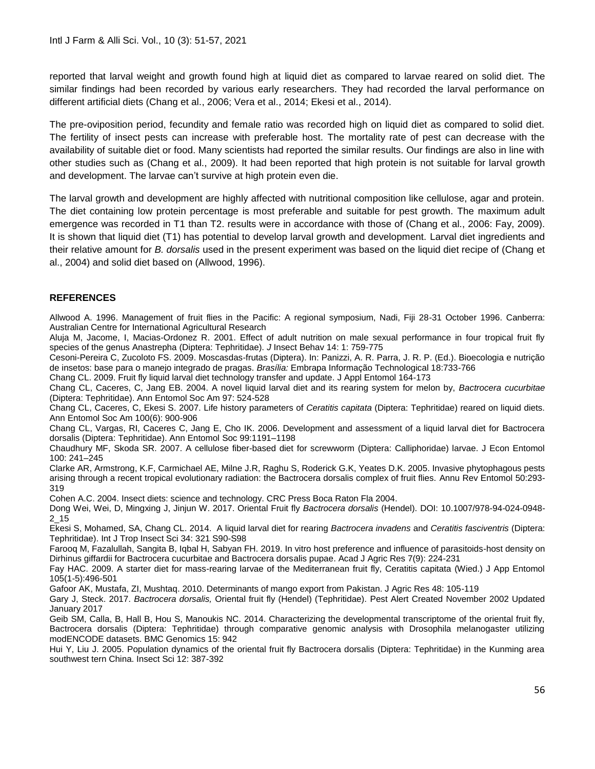reported that larval weight and growth found high at liquid diet as compared to larvae reared on solid diet. The similar findings had been recorded by various early researchers. They had recorded the larval performance on different artificial diets (Chang et al., 2006; Vera et al., 2014; Ekesi et al., 2014).

The pre-oviposition period, fecundity and female ratio was recorded high on liquid diet as compared to solid diet. The fertility of insect pests can increase with preferable host. The mortality rate of pest can decrease with the availability of suitable diet or food. Many scientists had reported the similar results. Our findings are also in line with other studies such as (Chang et al., 2009). It had been reported that high protein is not suitable for larval growth and development. The larvae can't survive at high protein even die.

The larval growth and development are highly affected with nutritional composition like cellulose, agar and protein. The diet containing low protein percentage is most preferable and suitable for pest growth. The maximum adult emergence was recorded in T1 than T2. results were in accordance with those of (Chang et al., 2006: Fay, 2009). It is shown that liquid diet (T1) has potential to develop larval growth and development. Larval diet ingredients and their relative amount for *B. dorsalis* used in the present experiment was based on the liquid diet recipe of (Chang et al., 2004) and solid diet based on (Allwood, 1996).

# **REFERENCES**

Allwood A. 1996. Management of fruit flies in the Pacific: A regional symposium, Nadi, Fiji 28-31 October 1996. Canberra: Australian Centre for International Agricultural Research

Aluja M, Jacome, I, Macias-Ordonez R. 2001. Effect of adult nutrition on male sexual performance in four tropical fruit fly species of the genus Anastrepha (Diptera: Tephritidae). *J* Insect Behav 14: 1: 759-775

Cesoni-Pereira C, Zucoloto FS. 2009. Moscasdas-frutas (Diptera). In: Panizzi, A. R. Parra, J. R. P. (Ed.). Bioecologia e nutrição de insetos: base para o manejo integrado de pragas. *Brasília:* Embrapa Informação Technological 18:733-766

Chang CL. 2009. Fruit fly liquid larval diet technology transfer and update. J Appl Entomol 164-173

Chang CL, Caceres, C, Jang EB. 2004. A novel liquid larval diet and its rearing system for melon by, *Bactrocera cucurbitae*  (Diptera: Tephritidae). Ann Entomol Soc Am 97: 524-528

Chang CL, Caceres, C, Ekesi S. 2007. Life history parameters of *Ceratitis capitata* (Diptera: Tephritidae) reared on liquid diets. Ann Entomol Soc Am 100(6): 900-906

Chang CL, Vargas, RI, Caceres C, Jang E, Cho IK. 2006. Development and assessment of a liquid larval diet for Bactrocera dorsalis (Diptera: Tephritidae). Ann Entomol Soc 99:1191–1198

Chaudhury MF, Skoda SR. 2007. A cellulose fiber-based diet for screwworm (Diptera: Calliphoridae) larvae. J Econ Entomol 100: 241–245

Clarke AR, Armstrong, K.F, Carmichael AE, Milne J.R, Raghu S, Roderick G.K, Yeates D.K. 2005. Invasive phytophagous pests arising through a recent tropical evolutionary radiation: the Bactrocera dorsalis complex of fruit flies. Annu Rev Entomol 50:293- 319

Cohen A.C. 2004. Insect diets: science and technology. CRC Press Boca Raton Fla 2004.

Dong Wei, Wei, D, Mingxing J, Jinjun W. 2017. Oriental Fruit fly *Bactrocera dorsalis* (Hendel). DOI: 10.1007/978-94-024-0948- 2\_15

Ekesi S, Mohamed, SA, Chang CL. 2014. A liquid larval diet for rearing *Bactrocera invadens* and *Ceratitis fasciventris* (Diptera: Tephritidae). Int J Trop Insect Sci 34: 321 S90-S98

Farooq M, Fazalullah, Sangita B, Iqbal H, Sabyan FH. 2019. In vitro host preference and influence of parasitoids-host density on Dirhinus giffardii for Bactrocera cucurbitae and Bactrocera dorsalis pupae. Acad J Agric Res 7(9): 224-231

Fay HAC. 2009. A starter diet for mass-rearing larvae of the Mediterranean fruit fly, Ceratitis capitata (Wied.) J App Entomol 105(1-5):496-501

Gafoor AK, Mustafa, ZI, Mushtaq. 2010. Determinants of mango export from Pakistan. J Agric Res 48: 105-119

Gary J, Steck. 2017. *Bactrocera dorsalis,* Oriental fruit fly (Hendel) (Tephritidae). Pest Alert Created November 2002 Updated January 2017

Geib SM, Calla, B, Hall B, Hou S, Manoukis NC. 2014. Characterizing the developmental transcriptome of the oriental fruit fly, Bactrocera dorsalis (Diptera: Tephritidae) through comparative genomic analysis with Drosophila melanogaster utilizing modENCODE datasets. BMC Genomics 15: 942

Hui Y, Liu J. 2005. Population dynamics of the oriental fruit fly Bactrocera dorsalis (Diptera: Tephritidae) in the Kunming area southwest tern China. Insect Sci 12: 387-392